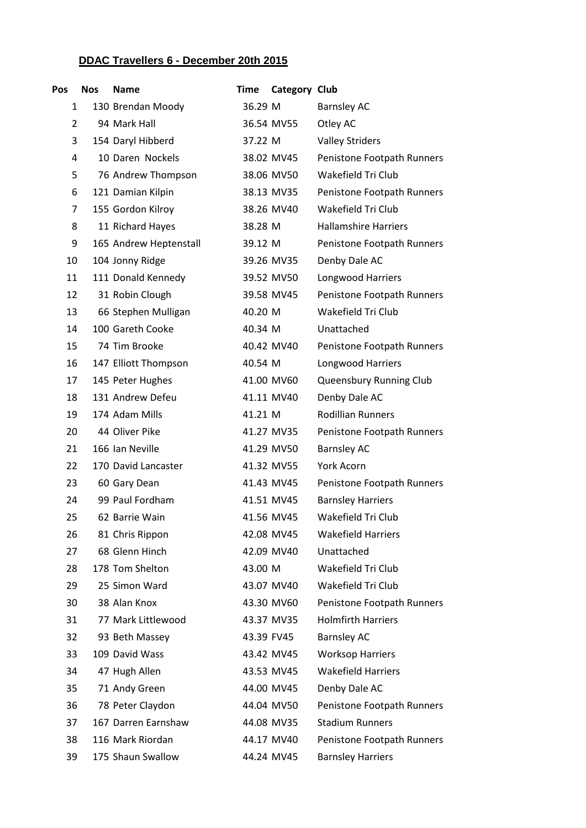## **DDAC Travellers 6 - December 20th 2015**

| Pos            | <b>Nos</b> | <b>Name</b>            | Time       | Category Club |                             |
|----------------|------------|------------------------|------------|---------------|-----------------------------|
| 1              |            | 130 Brendan Moody      | 36.29 M    |               | <b>Barnsley AC</b>          |
| $\overline{2}$ |            | 94 Mark Hall           |            | 36.54 MV55    | Otley AC                    |
| 3              |            | 154 Daryl Hibberd      | 37.22 M    |               | <b>Valley Striders</b>      |
| 4              |            | 10 Daren Nockels       |            | 38.02 MV45    | Penistone Footpath Runners  |
| 5              |            | 76 Andrew Thompson     |            | 38.06 MV50    | Wakefield Tri Club          |
| 6              |            | 121 Damian Kilpin      |            | 38.13 MV35    | Penistone Footpath Runners  |
| $\overline{7}$ |            | 155 Gordon Kilroy      |            | 38.26 MV40    | Wakefield Tri Club          |
| 8              |            | 11 Richard Hayes       | 38.28 M    |               | <b>Hallamshire Harriers</b> |
| 9              |            | 165 Andrew Heptenstall | 39.12 M    |               | Penistone Footpath Runners  |
| 10             |            | 104 Jonny Ridge        |            | 39.26 MV35    | Denby Dale AC               |
| 11             |            | 111 Donald Kennedy     |            | 39.52 MV50    | Longwood Harriers           |
| 12             |            | 31 Robin Clough        |            | 39.58 MV45    | Penistone Footpath Runners  |
| 13             |            | 66 Stephen Mulligan    | 40.20 M    |               | Wakefield Tri Club          |
| 14             |            | 100 Gareth Cooke       | 40.34 M    |               | Unattached                  |
| 15             |            | 74 Tim Brooke          |            | 40.42 MV40    | Penistone Footpath Runners  |
| 16             |            | 147 Elliott Thompson   | 40.54 M    |               | Longwood Harriers           |
| 17             |            | 145 Peter Hughes       |            | 41.00 MV60    | Queensbury Running Club     |
| 18             |            | 131 Andrew Defeu       |            | 41.11 MV40    | Denby Dale AC               |
| 19             |            | 174 Adam Mills         | 41.21 M    |               | <b>Rodillian Runners</b>    |
| 20             |            | 44 Oliver Pike         |            | 41.27 MV35    | Penistone Footpath Runners  |
| 21             |            | 166 Ian Neville        |            | 41.29 MV50    | <b>Barnsley AC</b>          |
| 22             |            | 170 David Lancaster    |            | 41.32 MV55    | <b>York Acorn</b>           |
| 23             |            | 60 Gary Dean           |            | 41.43 MV45    | Penistone Footpath Runners  |
| 24             |            | 99 Paul Fordham        |            | 41.51 MV45    | <b>Barnsley Harriers</b>    |
| 25             |            | 62 Barrie Wain         |            | 41.56 MV45    | Wakefield Tri Club          |
| 26             |            | 81 Chris Rippon        |            | 42.08 MV45    | <b>Wakefield Harriers</b>   |
| 27             |            | 68 Glenn Hinch         |            | 42.09 MV40    | Unattached                  |
| 28             |            | 178 Tom Shelton        | 43.00 M    |               | Wakefield Tri Club          |
| 29             |            | 25 Simon Ward          |            | 43.07 MV40    | Wakefield Tri Club          |
| 30             |            | 38 Alan Knox           |            | 43.30 MV60    | Penistone Footpath Runners  |
| 31             |            | 77 Mark Littlewood     |            | 43.37 MV35    | <b>Holmfirth Harriers</b>   |
| 32             |            | 93 Beth Massey         | 43.39 FV45 |               | <b>Barnsley AC</b>          |
| 33             |            | 109 David Wass         |            | 43.42 MV45    | <b>Worksop Harriers</b>     |
| 34             |            | 47 Hugh Allen          |            | 43.53 MV45    | <b>Wakefield Harriers</b>   |
| 35             |            | 71 Andy Green          |            | 44.00 MV45    | Denby Dale AC               |
| 36             |            | 78 Peter Claydon       |            | 44.04 MV50    | Penistone Footpath Runners  |
| 37             |            | 167 Darren Earnshaw    |            | 44.08 MV35    | <b>Stadium Runners</b>      |
| 38             |            | 116 Mark Riordan       |            | 44.17 MV40    | Penistone Footpath Runners  |
| 39             |            | 175 Shaun Swallow      |            | 44.24 MV45    | <b>Barnsley Harriers</b>    |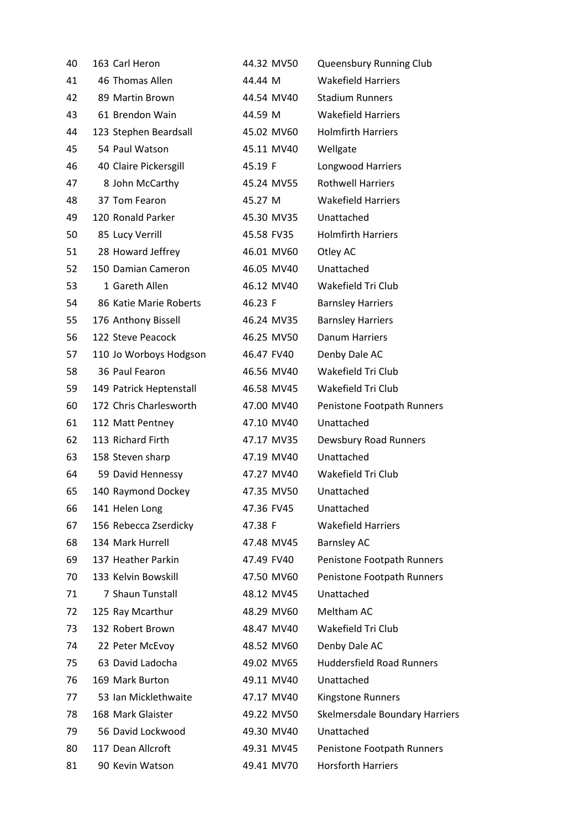| 40 | 163 Carl Heron          | 44.32 MV50 | Queensbury Running Club          |
|----|-------------------------|------------|----------------------------------|
| 41 | 46 Thomas Allen         | 44.44 M    | <b>Wakefield Harriers</b>        |
| 42 | 89 Martin Brown         | 44.54 MV40 | <b>Stadium Runners</b>           |
| 43 | 61 Brendon Wain         | 44.59 M    | <b>Wakefield Harriers</b>        |
| 44 | 123 Stephen Beardsall   | 45.02 MV60 | <b>Holmfirth Harriers</b>        |
| 45 | 54 Paul Watson          | 45.11 MV40 | Wellgate                         |
| 46 | 40 Claire Pickersgill   | 45.19 F    | Longwood Harriers                |
| 47 | 8 John McCarthy         | 45.24 MV55 | <b>Rothwell Harriers</b>         |
| 48 | 37 Tom Fearon           | 45.27 M    | <b>Wakefield Harriers</b>        |
| 49 | 120 Ronald Parker       | 45.30 MV35 | Unattached                       |
| 50 | 85 Lucy Verrill         | 45.58 FV35 | <b>Holmfirth Harriers</b>        |
| 51 | 28 Howard Jeffrey       | 46.01 MV60 | Otley AC                         |
| 52 | 150 Damian Cameron      | 46.05 MV40 | Unattached                       |
| 53 | 1 Gareth Allen          | 46.12 MV40 | Wakefield Tri Club               |
| 54 | 86 Katie Marie Roberts  | 46.23 F    | <b>Barnsley Harriers</b>         |
| 55 | 176 Anthony Bissell     | 46.24 MV35 | <b>Barnsley Harriers</b>         |
| 56 | 122 Steve Peacock       | 46.25 MV50 | <b>Danum Harriers</b>            |
| 57 | 110 Jo Worboys Hodgson  | 46.47 FV40 | Denby Dale AC                    |
| 58 | 36 Paul Fearon          | 46.56 MV40 | Wakefield Tri Club               |
| 59 | 149 Patrick Heptenstall | 46.58 MV45 | Wakefield Tri Club               |
| 60 | 172 Chris Charlesworth  | 47.00 MV40 | Penistone Footpath Runners       |
| 61 | 112 Matt Pentney        | 47.10 MV40 | Unattached                       |
| 62 | 113 Richard Firth       | 47.17 MV35 | Dewsbury Road Runners            |
| 63 | 158 Steven sharp        | 47.19 MV40 | Unattached                       |
| 64 | 59 David Hennessy       | 47.27 MV40 | Wakefield Tri Club               |
| 65 | 140 Raymond Dockey      | 47.35 MV50 | Unattached                       |
| 66 | 141 Helen Long          | 47.36 FV45 | Unattached                       |
| 67 | 156 Rebecca Zserdicky   | 47.38 F    | <b>Wakefield Harriers</b>        |
| 68 | 134 Mark Hurrell        | 47.48 MV45 | <b>Barnsley AC</b>               |
| 69 | 137 Heather Parkin      | 47.49 FV40 | Penistone Footpath Runners       |
| 70 | 133 Kelvin Bowskill     | 47.50 MV60 | Penistone Footpath Runners       |
| 71 | 7 Shaun Tunstall        | 48.12 MV45 | Unattached                       |
| 72 | 125 Ray Mcarthur        | 48.29 MV60 | Meltham AC                       |
| 73 | 132 Robert Brown        | 48.47 MV40 | Wakefield Tri Club               |
| 74 | 22 Peter McEvoy         | 48.52 MV60 | Denby Dale AC                    |
| 75 | 63 David Ladocha        | 49.02 MV65 | <b>Huddersfield Road Runners</b> |
| 76 | 169 Mark Burton         | 49.11 MV40 | Unattached                       |
| 77 | 53 Ian Micklethwaite    | 47.17 MV40 | Kingstone Runners                |
| 78 | 168 Mark Glaister       | 49.22 MV50 | Skelmersdale Boundary Harriers   |
| 79 | 56 David Lockwood       | 49.30 MV40 | Unattached                       |
| 80 | 117 Dean Allcroft       | 49.31 MV45 | Penistone Footpath Runners       |
| 81 | 90 Kevin Watson         | 49.41 MV70 | <b>Horsforth Harriers</b>        |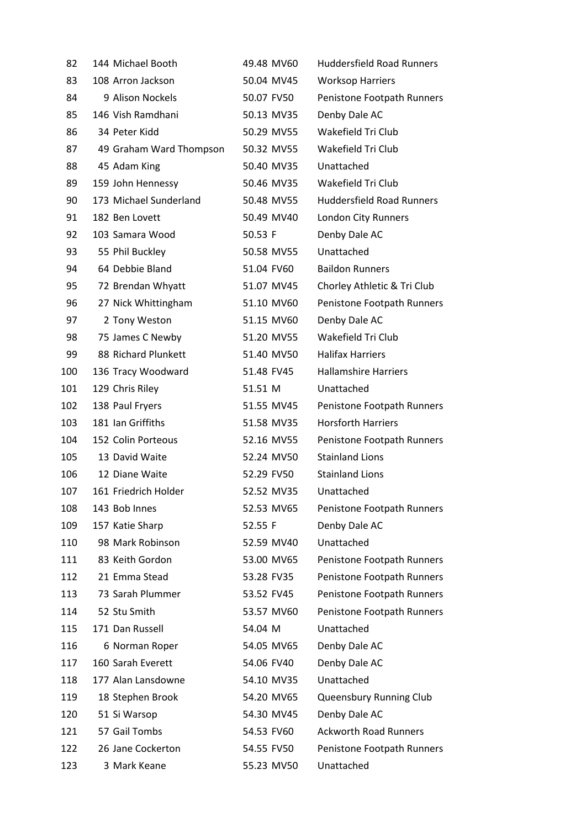| 82  | 144 Michael Booth       | 49.48 MV60 | <b>Huddersfield Road Runners</b> |
|-----|-------------------------|------------|----------------------------------|
| 83  | 108 Arron Jackson       | 50.04 MV45 | <b>Worksop Harriers</b>          |
| 84  | 9 Alison Nockels        | 50.07 FV50 | Penistone Footpath Runners       |
| 85  | 146 Vish Ramdhani       | 50.13 MV35 | Denby Dale AC                    |
| 86  | 34 Peter Kidd           | 50.29 MV55 | Wakefield Tri Club               |
| 87  | 49 Graham Ward Thompson | 50.32 MV55 | Wakefield Tri Club               |
| 88  | 45 Adam King            | 50.40 MV35 | Unattached                       |
| 89  | 159 John Hennessy       | 50.46 MV35 | Wakefield Tri Club               |
| 90  | 173 Michael Sunderland  | 50.48 MV55 | <b>Huddersfield Road Runners</b> |
| 91  | 182 Ben Lovett          | 50.49 MV40 | London City Runners              |
| 92  | 103 Samara Wood         | 50.53 F    | Denby Dale AC                    |
| 93  | 55 Phil Buckley         | 50.58 MV55 | Unattached                       |
| 94  | 64 Debbie Bland         | 51.04 FV60 | <b>Baildon Runners</b>           |
| 95  | 72 Brendan Whyatt       | 51.07 MV45 | Chorley Athletic & Tri Club      |
| 96  | 27 Nick Whittingham     | 51.10 MV60 | Penistone Footpath Runners       |
| 97  | 2 Tony Weston           | 51.15 MV60 | Denby Dale AC                    |
| 98  | 75 James C Newby        | 51.20 MV55 | Wakefield Tri Club               |
| 99  | 88 Richard Plunkett     | 51.40 MV50 | <b>Halifax Harriers</b>          |
| 100 | 136 Tracy Woodward      | 51.48 FV45 | <b>Hallamshire Harriers</b>      |
| 101 | 129 Chris Riley         | 51.51 M    | Unattached                       |
| 102 | 138 Paul Fryers         | 51.55 MV45 | Penistone Footpath Runners       |
| 103 | 181 Ian Griffiths       | 51.58 MV35 | <b>Horsforth Harriers</b>        |
| 104 | 152 Colin Porteous      | 52.16 MV55 | Penistone Footpath Runners       |
| 105 | 13 David Waite          | 52.24 MV50 | <b>Stainland Lions</b>           |
| 106 | 12 Diane Waite          | 52.29 FV50 | <b>Stainland Lions</b>           |
| 107 | 161 Friedrich Holder    | 52.52 MV35 | Unattached                       |
| 108 | 143 Bob Innes           | 52.53 MV65 | Penistone Footpath Runners       |
| 109 | 157 Katie Sharp         | 52.55 F    | Denby Dale AC                    |
| 110 | 98 Mark Robinson        | 52.59 MV40 | Unattached                       |
| 111 | 83 Keith Gordon         | 53.00 MV65 | Penistone Footpath Runners       |
| 112 | 21 Emma Stead           | 53.28 FV35 | Penistone Footpath Runners       |
| 113 | 73 Sarah Plummer        | 53.52 FV45 | Penistone Footpath Runners       |
| 114 | 52 Stu Smith            | 53.57 MV60 | Penistone Footpath Runners       |
| 115 | 171 Dan Russell         | 54.04 M    | Unattached                       |
| 116 | 6 Norman Roper          | 54.05 MV65 | Denby Dale AC                    |
| 117 | 160 Sarah Everett       | 54.06 FV40 | Denby Dale AC                    |
| 118 | 177 Alan Lansdowne      | 54.10 MV35 | Unattached                       |
| 119 | 18 Stephen Brook        | 54.20 MV65 | Queensbury Running Club          |
| 120 | 51 Si Warsop            | 54.30 MV45 | Denby Dale AC                    |
| 121 | 57 Gail Tombs           | 54.53 FV60 | <b>Ackworth Road Runners</b>     |
| 122 | 26 Jane Cockerton       | 54.55 FV50 | Penistone Footpath Runners       |
| 123 | 3 Mark Keane            | 55.23 MV50 | Unattached                       |